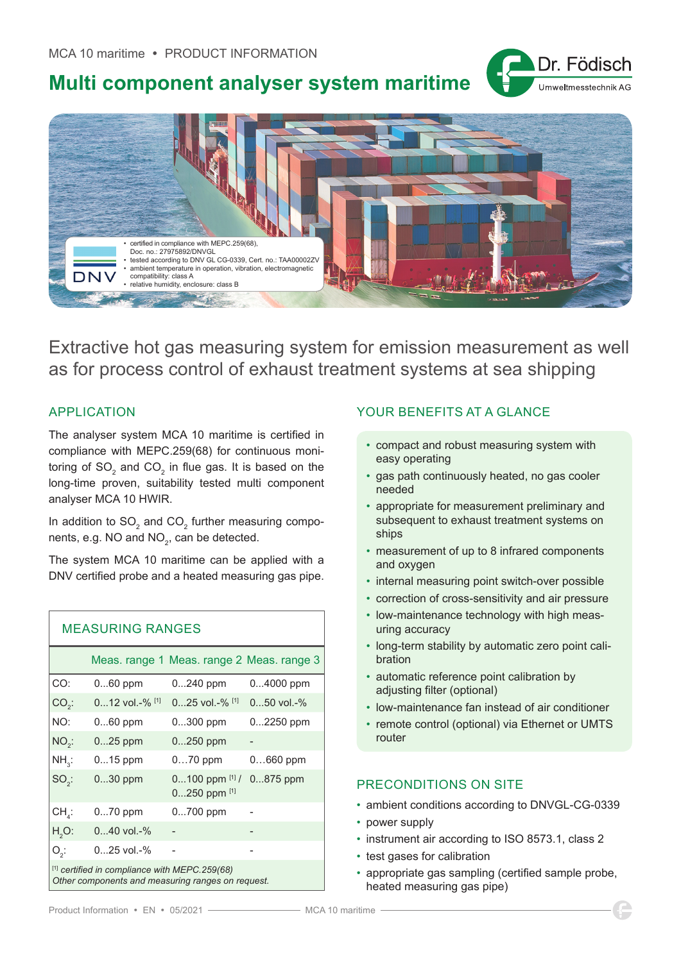

# **Multi component analyser system maritime**



Extractive hot gas measuring system for emission measurement as well as for process control of exhaust treatment systems at sea shipping

### APPLICATION

The analyser system MCA 10 maritime is certified in compliance with MEPC.259(68) for continuous monitoring of SO $_{_2}$  and CO $_{_2}$  in flue gas. It is based on the long-time proven, suitability tested multi component analyser MCA 10 HWIR.

In addition to SO $_{\rm 2}$  and CO $_{\rm 2}$  further measuring components, e.g. NO and NO $_{\rm 2}$ , can be detected.

The system MCA 10 maritime can be applied with a DNV certified probe and a heated measuring gas pipe.

| <b>MEASURING RANGES</b>                                  |                              |                                                         |                  |
|----------------------------------------------------------|------------------------------|---------------------------------------------------------|------------------|
|                                                          |                              | Meas. range 1 Meas. range 2 Meas. range 3               |                  |
| CO:                                                      | 060 ppm                      | $0240$ ppm                                              | 04000 ppm        |
| $CO2$ :                                                  | $012$ vol. $\frac{9}{6}$ [1] | $025$ vol. -% <sup>[1]</sup>                            | $050$ vol. $-$ % |
| NO:                                                      | $060$ ppm                    | 0300 ppm                                                | 02250 ppm        |
| $NO2$ :                                                  | $025$ ppm                    | $0250$ ppm                                              |                  |
| $NH_{3}$ :                                               | $015$ ppm                    | $070$ ppm                                               | $0660$ ppm       |
| $SO2$ :                                                  | 030 ppm                      | $0100$ ppm $^{[1]}$ / $0875$ ppm<br>$0250$ ppm $^{[1]}$ |                  |
| $CH_{\lambda}$ :                                         | $070$ ppm                    | 0700 ppm                                                |                  |
| $H2O$ :                                                  | $040$ vol.-%                 |                                                         |                  |
| $O_2$ :                                                  | $025$ vol.-%                 |                                                         |                  |
| <sup>[1]</sup> certified in compliance with MEPC.259(68) |                              |                                                         |                  |

*Other components and measuring ranges on request.*

### YOUR BENEFITS AT A GLANCE

- compact and robust measuring system with easy operating
- gas path continuously heated, no gas cooler needed
- appropriate for measurement preliminary and subsequent to exhaust treatment systems on ships
- measurement of up to 8 infrared components and oxygen
- internal measuring point switch-over possible
- correction of cross-sensitivity and air pressure
- low-maintenance technology with high measuring accuracy
- long-term stability by automatic zero point calibration
- automatic reference point calibration by adjusting filter (optional)
- low-maintenance fan instead of air conditioner
- remote control (optional) via Ethernet or UMTS router

### PRECONDITIONS ON SITE

- ambient conditions according to DNVGL-CG-0339
- power supply
- instrument air according to ISO 8573.1, class 2
- test gases for calibration
- appropriate gas sampling (certified sample probe, heated measuring gas pipe)